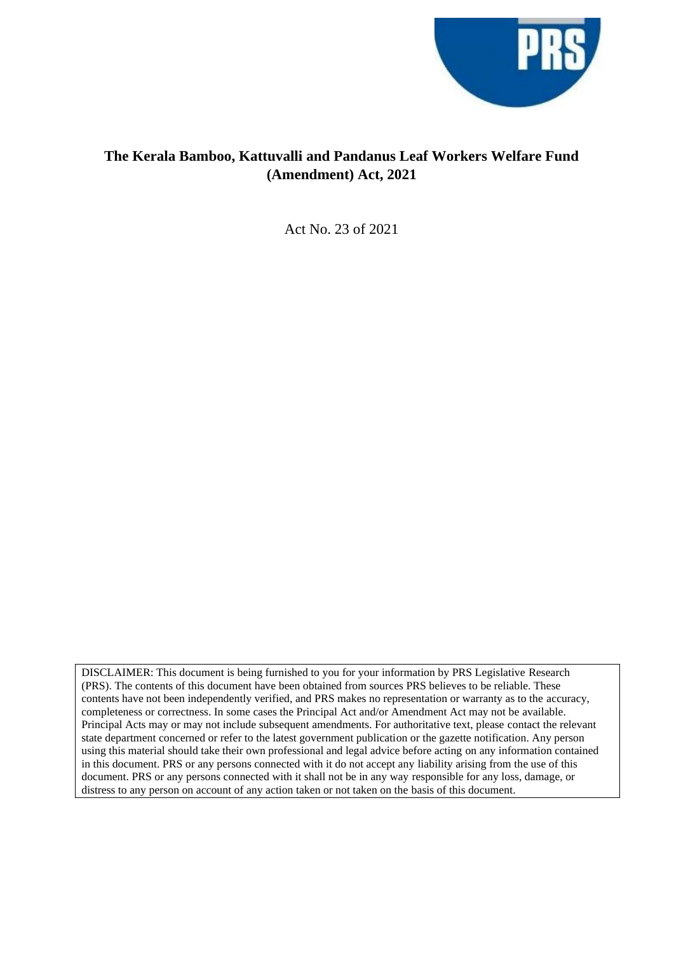

## **The Kerala Bamboo, Kattuvalli and Pandanus Leaf Workers Welfare Fund (Amendment) Act, 2021**

Act No. 23 of 2021

DISCLAIMER: This document is being furnished to you for your information by PRS Legislative Research (PRS). The contents of this document have been obtained from sources PRS believes to be reliable. These contents have not been independently verified, and PRS makes no representation or warranty as to the accuracy, completeness or correctness. In some cases the Principal Act and/or Amendment Act may not be available. Principal Acts may or may not include subsequent amendments. For authoritative text, please contact the relevant state department concerned or refer to the latest government publication or the gazette notification. Any person using this material should take their own professional and legal advice before acting on any information contained in this document. PRS or any persons connected with it do not accept any liability arising from the use of this document. PRS or any persons connected with it shall not be in any way responsible for any loss, damage, or distress to any person on account of any action taken or not taken on the basis of this document.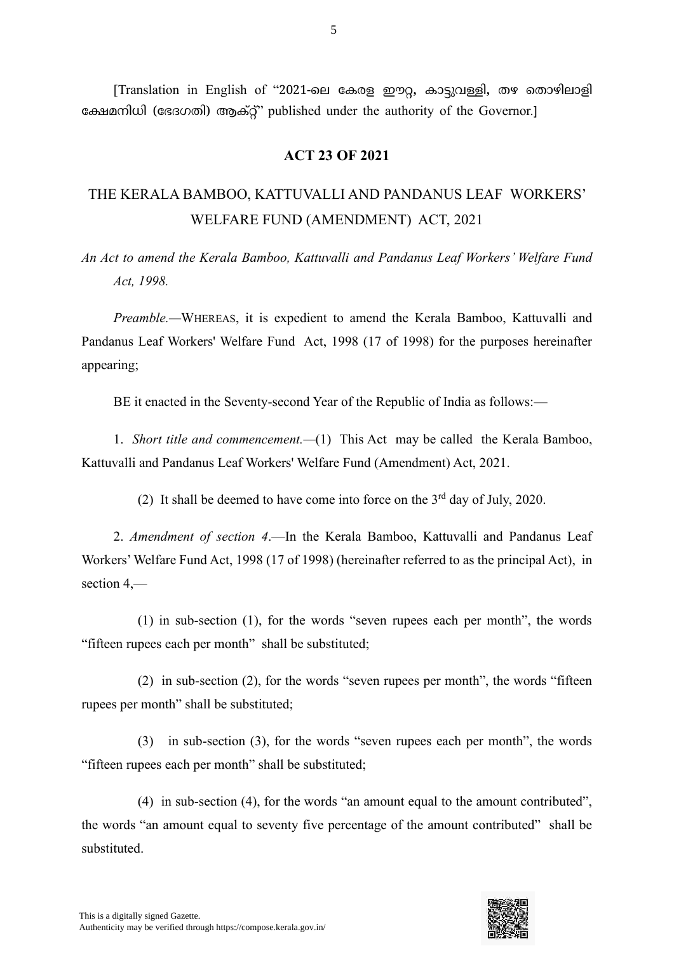[Translation in English of "2021-ടേ കേരള ഈറ**,** ോട്ടുവള്ളി**,** തെ ടതാെിോളി കേമനിധി (കഭദഗതി) ആേ്റ്" published under the authority of the Governor.] **der the** 

## **ACT 23 OF 2021**

## THE KERALA BAMBOO, KATTUVALLI AND PANDANUS LEAF WORKERS' WELFARE FUND (AMENDMENT) ACT, 2021

*An Act to amend the Kerala Bamboo, Kattuvalli and Pandanus Leaf Workers' Welfare Fund Act, 1998.*

*Preamble.—*WHEREAS, it is expedient to amend the Kerala Bamboo, Kattuvalli and Pandanus Leaf Workers' Welfare Fund Act, 1998 (17 of 1998) for the purposes hereinafter appearing;

BE it enacted in the Seventy-second Year of the Republic of India as follows:—

1. *Short title and commencement.—*(1) This Act may be called the Kerala Bamboo, Kattuvalli and Pandanus Leaf Workers' Welfare Fund (Amendment) Act, 2021.

(2) It shall be deemed to have come into force on the  $3<sup>rd</sup>$  day of July, 2020.

2. *Amendment of section 4*.—In the Kerala Bamboo, Kattuvalli and Pandanus Leaf Workers'Welfare Fund Act, 1998 (17 of 1998) (hereinafter referred to as the principal Act), in section 4,—

(1) in sub-section (1), for the words "seven rupees each per month", the words "fifteen rupees each per month" shall be substituted;

(2) in sub-section (2), for the words "seven rupees per month", the words "fifteen rupees per month" shall be substituted;

(3) in sub-section (3), for the words "seven rupees each per month", the words "fifteen rupees each per month" shall be substituted;

(4) in sub-section (4), for the words "an amount equal to the amount contributed", the words "an amount equal to seventy five percentage of the amount contributed" shall be substituted.